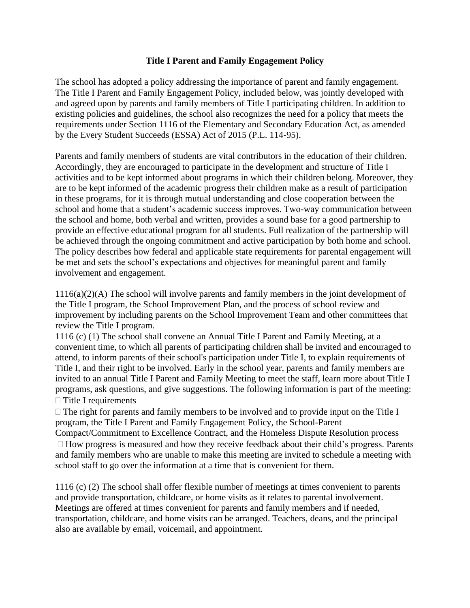## **Title I Parent and Family Engagement Policy**

The school has adopted a policy addressing the importance of parent and family engagement. The Title I Parent and Family Engagement Policy, included below, was jointly developed with and agreed upon by parents and family members of Title I participating children. In addition to existing policies and guidelines, the school also recognizes the need for a policy that meets the requirements under Section 1116 of the Elementary and Secondary Education Act, as amended by the Every Student Succeeds (ESSA) Act of 2015 (P.L. 114-95).

Parents and family members of students are vital contributors in the education of their children. Accordingly, they are encouraged to participate in the development and structure of Title I activities and to be kept informed about programs in which their children belong. Moreover, they are to be kept informed of the academic progress their children make as a result of participation in these programs, for it is through mutual understanding and close cooperation between the school and home that a student's academic success improves. Two-way communication between the school and home, both verbal and written, provides a sound base for a good partnership to provide an effective educational program for all students. Full realization of the partnership will be achieved through the ongoing commitment and active participation by both home and school. The policy describes how federal and applicable state requirements for parental engagement will be met and sets the school's expectations and objectives for meaningful parent and family involvement and engagement.

1116(a)(2)(A) The school will involve parents and family members in the joint development of the Title I program, the School Improvement Plan, and the process of school review and improvement by including parents on the School Improvement Team and other committees that review the Title I program.

1116 (c) (1) The school shall convene an Annual Title I Parent and Family Meeting, at a convenient time, to which all parents of participating children shall be invited and encouraged to attend, to inform parents of their school's participation under Title I, to explain requirements of Title I, and their right to be involved. Early in the school year, parents and family members are invited to an annual Title I Parent and Family Meeting to meet the staff, learn more about Title I programs, ask questions, and give suggestions. The following information is part of the meeting:  $\Box$  Title I requirements

 $\Box$  The right for parents and family members to be involved and to provide input on the Title I program, the Title I Parent and Family Engagement Policy, the School-Parent

Compact/Commitment to Excellence Contract, and the Homeless Dispute Resolution process  $\Box$  How progress is measured and how they receive feedback about their child's progress. Parents and family members who are unable to make this meeting are invited to schedule a meeting with school staff to go over the information at a time that is convenient for them.

1116 (c) (2) The school shall offer flexible number of meetings at times convenient to parents and provide transportation, childcare, or home visits as it relates to parental involvement. Meetings are offered at times convenient for parents and family members and if needed, transportation, childcare, and home visits can be arranged. Teachers, deans, and the principal also are available by email, voicemail, and appointment.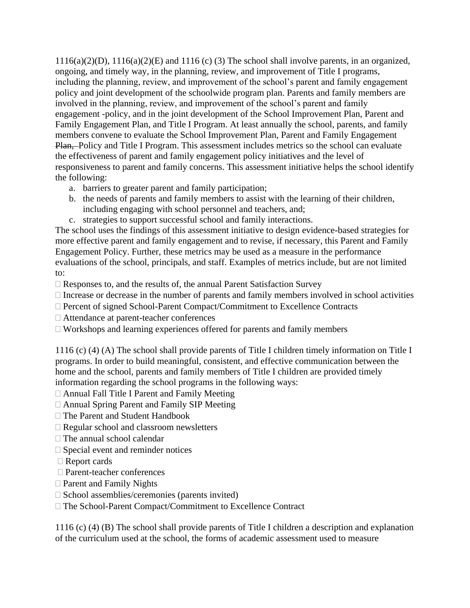$1116(a)(2)(D)$ ,  $1116(a)(2)(E)$  and  $1116(c)$  (3) The school shall involve parents, in an organized, ongoing, and timely way, in the planning, review, and improvement of Title I programs, including the planning, review, and improvement of the school's parent and family engagement policy and joint development of the schoolwide program plan. Parents and family members are involved in the planning, review, and improvement of the school's parent and family engagement -policy, and in the joint development of the School Improvement Plan, Parent and Family Engagement Plan, and Title I Program. At least annually the school, parents, and family members convene to evaluate the School Improvement Plan, Parent and Family Engagement Plan, Policy and Title I Program. This assessment includes metrics so the school can evaluate the effectiveness of parent and family engagement policy initiatives and the level of responsiveness to parent and family concerns. This assessment initiative helps the school identify the following:

- a. barriers to greater parent and family participation;
- b. the needs of parents and family members to assist with the learning of their children, including engaging with school personnel and teachers, and;
- c. strategies to support successful school and family interactions.

The school uses the findings of this assessment initiative to design evidence-based strategies for more effective parent and family engagement and to revise, if necessary, this Parent and Family Engagement Policy. Further, these metrics may be used as a measure in the performance evaluations of the school, principals, and staff. Examples of metrics include, but are not limited to:

 $\Box$  Responses to, and the results of, the annual Parent Satisfaction Survey

- $\Box$  Increase or decrease in the number of parents and family members involved in school activities
- □ Percent of signed School-Parent Compact/Commitment to Excellence Contracts
- □ Attendance at parent-teacher conferences
- $\Box$  Workshops and learning experiences offered for parents and family members

1116 (c) (4) (A) The school shall provide parents of Title I children timely information on Title I programs. In order to build meaningful, consistent, and effective communication between the home and the school, parents and family members of Title I children are provided timely information regarding the school programs in the following ways:

- Annual Fall Title I Parent and Family Meeting
- Annual Spring Parent and Family SIP Meeting
- The Parent and Student Handbook
- Regular school and classroom newsletters
- $\Box$  The annual school calendar
- $\square$  Special event and reminder notices
- □ Report cards
- □ Parent-teacher conferences
- □ Parent and Family Nights
- □ School assemblies/ceremonies (parents invited)
- The School-Parent Compact/Commitment to Excellence Contract

1116 (c) (4) (B) The school shall provide parents of Title I children a description and explanation of the curriculum used at the school, the forms of academic assessment used to measure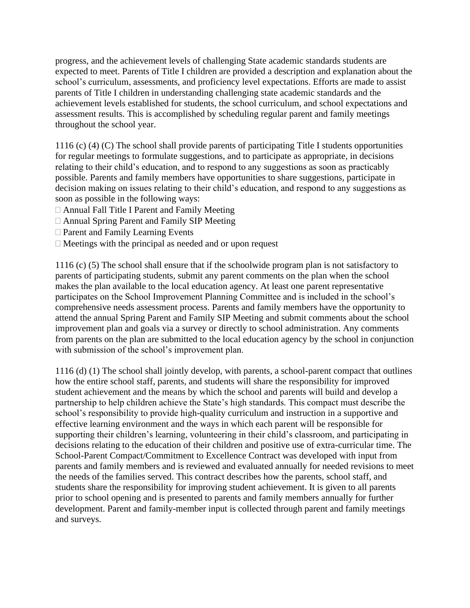progress, and the achievement levels of challenging State academic standards students are expected to meet. Parents of Title I children are provided a description and explanation about the school's curriculum, assessments, and proficiency level expectations. Efforts are made to assist parents of Title I children in understanding challenging state academic standards and the achievement levels established for students, the school curriculum, and school expectations and assessment results. This is accomplished by scheduling regular parent and family meetings throughout the school year.

1116 (c) (4) (C) The school shall provide parents of participating Title I students opportunities for regular meetings to formulate suggestions, and to participate as appropriate, in decisions relating to their child's education, and to respond to any suggestions as soon as practicably possible. Parents and family members have opportunities to share suggestions, participate in decision making on issues relating to their child's education, and respond to any suggestions as soon as possible in the following ways:

- Annual Fall Title I Parent and Family Meeting
- Annual Spring Parent and Family SIP Meeting
- □ Parent and Family Learning Events
- $\Box$  Meetings with the principal as needed and or upon request

1116 (c) (5) The school shall ensure that if the schoolwide program plan is not satisfactory to parents of participating students, submit any parent comments on the plan when the school makes the plan available to the local education agency. At least one parent representative participates on the School Improvement Planning Committee and is included in the school's comprehensive needs assessment process. Parents and family members have the opportunity to attend the annual Spring Parent and Family SIP Meeting and submit comments about the school improvement plan and goals via a survey or directly to school administration. Any comments from parents on the plan are submitted to the local education agency by the school in conjunction with submission of the school's improvement plan.

1116 (d) (1) The school shall jointly develop, with parents, a school-parent compact that outlines how the entire school staff, parents, and students will share the responsibility for improved student achievement and the means by which the school and parents will build and develop a partnership to help children achieve the State's high standards. This compact must describe the school's responsibility to provide high-quality curriculum and instruction in a supportive and effective learning environment and the ways in which each parent will be responsible for supporting their children's learning, volunteering in their child's classroom, and participating in decisions relating to the education of their children and positive use of extra-curricular time. The School-Parent Compact/Commitment to Excellence Contract was developed with input from parents and family members and is reviewed and evaluated annually for needed revisions to meet the needs of the families served. This contract describes how the parents, school staff, and students share the responsibility for improving student achievement. It is given to all parents prior to school opening and is presented to parents and family members annually for further development. Parent and family-member input is collected through parent and family meetings and surveys.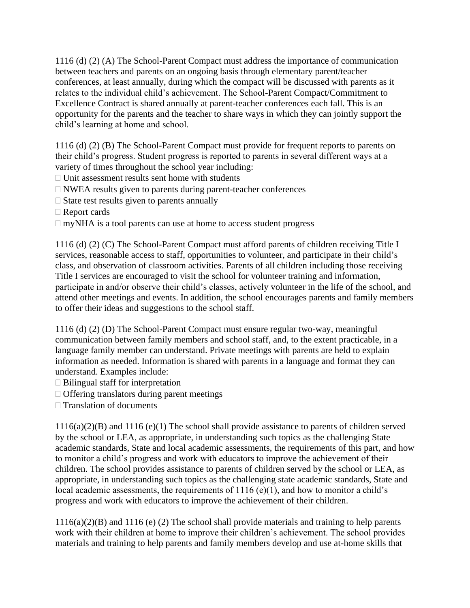1116 (d) (2) (A) The School-Parent Compact must address the importance of communication between teachers and parents on an ongoing basis through elementary parent/teacher conferences, at least annually, during which the compact will be discussed with parents as it relates to the individual child's achievement. The School-Parent Compact/Commitment to Excellence Contract is shared annually at parent-teacher conferences each fall. This is an opportunity for the parents and the teacher to share ways in which they can jointly support the child's learning at home and school.

1116 (d) (2) (B) The School-Parent Compact must provide for frequent reports to parents on their child's progress. Student progress is reported to parents in several different ways at a variety of times throughout the school year including:

 $\Box$  Unit assessment results sent home with students

- NWEA results given to parents during parent-teacher conferences
- $\square$  State test results given to parents annually
- □ Report cards
- $\Box$  myNHA is a tool parents can use at home to access student progress

1116 (d) (2) (C) The School-Parent Compact must afford parents of children receiving Title I services, reasonable access to staff, opportunities to volunteer, and participate in their child's class, and observation of classroom activities. Parents of all children including those receiving Title I services are encouraged to visit the school for volunteer training and information, participate in and/or observe their child's classes, actively volunteer in the life of the school, and attend other meetings and events. In addition, the school encourages parents and family members to offer their ideas and suggestions to the school staff.

1116 (d) (2) (D) The School-Parent Compact must ensure regular two-way, meaningful communication between family members and school staff, and, to the extent practicable, in a language family member can understand. Private meetings with parents are held to explain information as needed. Information is shared with parents in a language and format they can understand. Examples include:

- $\Box$  Bilingual staff for interpretation
- $\Box$  Offering translators during parent meetings
- $\Box$  Translation of documents

1116(a)(2)(B) and 1116 (e)(1) The school shall provide assistance to parents of children served by the school or LEA, as appropriate, in understanding such topics as the challenging State academic standards, State and local academic assessments, the requirements of this part, and how to monitor a child's progress and work with educators to improve the achievement of their children. The school provides assistance to parents of children served by the school or LEA, as appropriate, in understanding such topics as the challenging state academic standards, State and local academic assessments, the requirements of 1116 (e)(1), and how to monitor a child's progress and work with educators to improve the achievement of their children.

 $1116(a)(2)(B)$  and  $1116(e)(2)$  The school shall provide materials and training to help parents work with their children at home to improve their children's achievement. The school provides materials and training to help parents and family members develop and use at-home skills that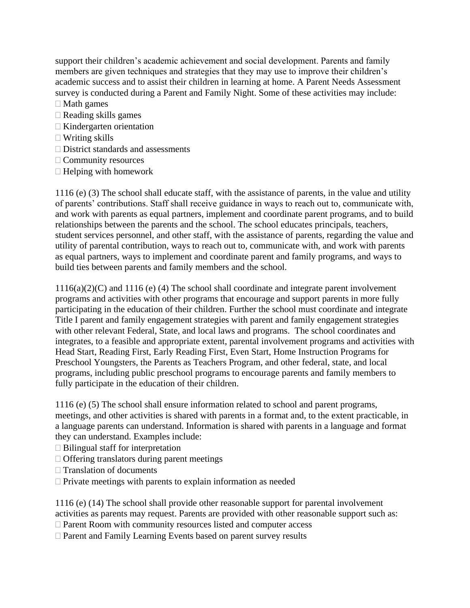support their children's academic achievement and social development. Parents and family members are given techniques and strategies that they may use to improve their children's academic success and to assist their children in learning at home. A Parent Needs Assessment survey is conducted during a Parent and Family Night. Some of these activities may include:

- $\Box$  Math games
- $\Box$  Reading skills games
- $\Box$  Kindergarten orientation
- $\Box$  Writing skills
- $\square$  District standards and assessments
- Community resources
- $\Box$  Helping with homework

1116 (e) (3) The school shall educate staff, with the assistance of parents, in the value and utility of parents' contributions. Staff shall receive guidance in ways to reach out to, communicate with, and work with parents as equal partners, implement and coordinate parent programs, and to build relationships between the parents and the school. The school educates principals, teachers, student services personnel, and other staff, with the assistance of parents, regarding the value and utility of parental contribution, ways to reach out to, communicate with, and work with parents as equal partners, ways to implement and coordinate parent and family programs, and ways to build ties between parents and family members and the school.

 $1116(a)(2)(C)$  and  $1116(e)$  (4) The school shall coordinate and integrate parent involvement programs and activities with other programs that encourage and support parents in more fully participating in the education of their children. Further the school must coordinate and integrate Title I parent and family engagement strategies with parent and family engagement strategies with other relevant Federal, State, and local laws and programs. The school coordinates and integrates, to a feasible and appropriate extent, parental involvement programs and activities with Head Start, Reading First, Early Reading First, Even Start, Home Instruction Programs for Preschool Youngsters, the Parents as Teachers Program, and other federal, state, and local programs, including public preschool programs to encourage parents and family members to fully participate in the education of their children.

1116 (e) (5) The school shall ensure information related to school and parent programs, meetings, and other activities is shared with parents in a format and, to the extent practicable, in a language parents can understand. Information is shared with parents in a language and format they can understand. Examples include:

- $\Box$  Bilingual staff for interpretation
- $\Box$  Offering translators during parent meetings
- $\Box$  Translation of documents
- $\Box$  Private meetings with parents to explain information as needed

1116 (e) (14) The school shall provide other reasonable support for parental involvement activities as parents may request. Parents are provided with other reasonable support such as:

 $\Box$  Parent Room with community resources listed and computer access

Parent and Family Learning Events based on parent survey results